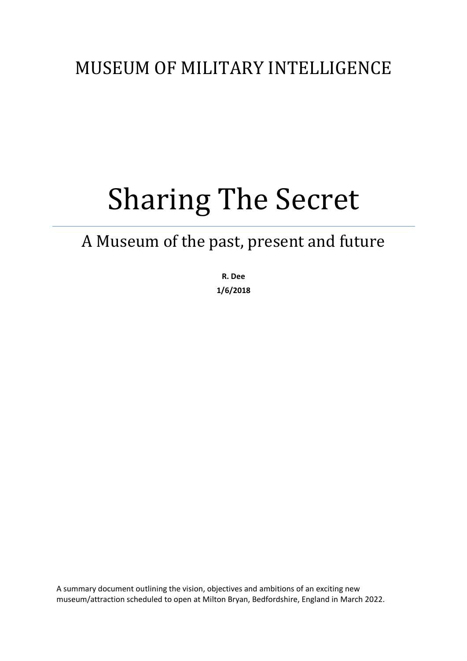## MUSEUM OF MILITARY INTELLIGENCE

## Sharing The Secret

## A Museum of the past, present and future

**R. Dee 1/6/2018**

A summary document outlining the vision, objectives and ambitions of an exciting new museum/attraction scheduled to open at Milton Bryan, Bedfordshire, England in March 2022.